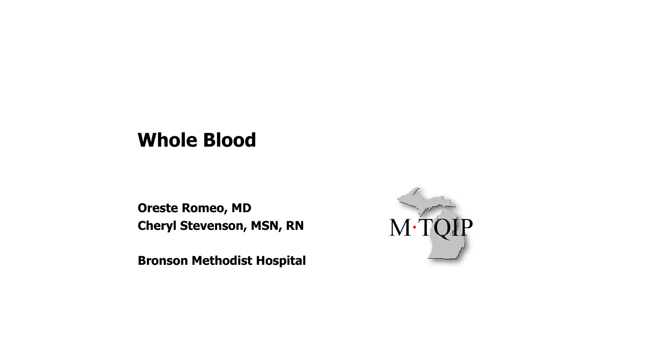#### **Whole Blood**

**Oreste Romeo, MD Cheryl Stevenson, MSN, RN**

**Bronson Methodist Hospital** 

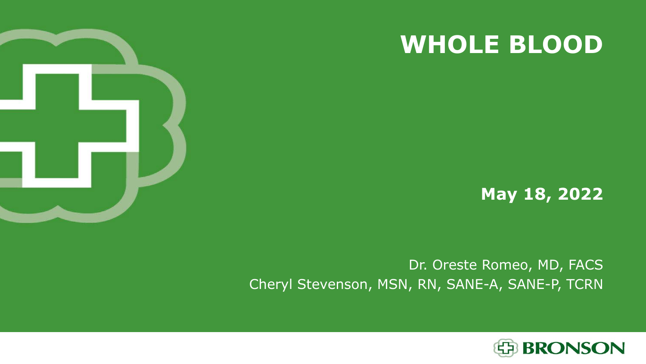





#### Dr. Oreste Romeo, MD, FACS Cheryl Stevenson, MSN, RN, SANE-A, SANE-P, TCRN

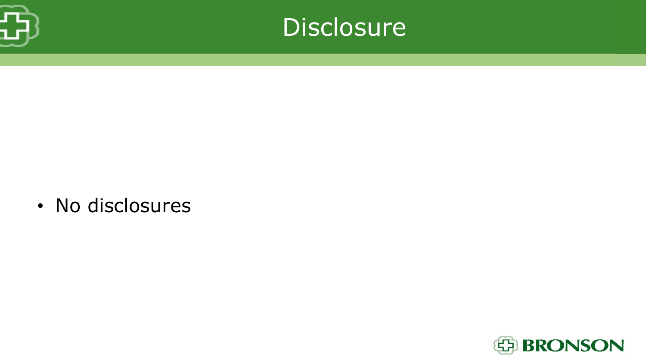



• No disclosures

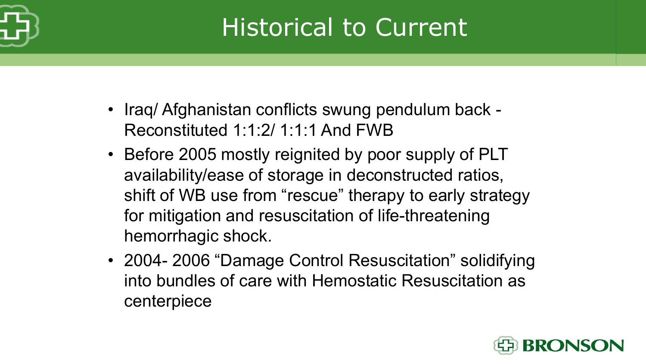

## Historical to Current

- Iraq/ Afghanistan conflicts swung pendulum back Reconstituted 1:1:2/ 1:1:1 And FWB
- Before 2005 mostly reignited by poor supply of PLT availability/ease of storage in deconstructed ratios, shift of WB use from "rescue" therapy to early strategy for mitigation and resuscitation of life-threatening hemorrhagic shock.
- 2004- 2006 "Damage Control Resuscitation" solidifying into bundles of care with Hemostatic Resuscitation as centerpiece

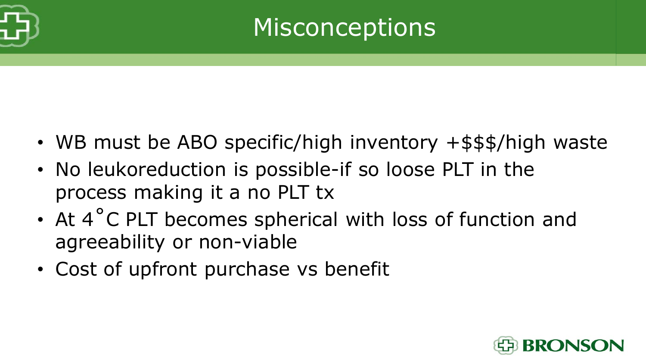

- WB must be ABO specific/high inventory +\$\$\$/high waste
- No leukoreduction is possible-if so loose PLT in the process making it a no PLT tx
- At 4°C PLT becomes spherical with loss of function and agreeability or non-viable
- Cost of upfront purchase vs benefit

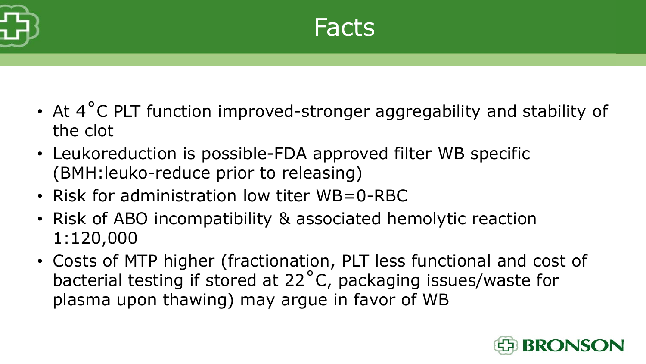

- At 4°C PLT function improved-stronger aggregability and stability of the clot
- Leukoreduction is possible-FDA approved filter WB specific (BMH:leuko-reduce prior to releasing)
- Risk for administration low titer WB=0-RBC
- Risk of ABO incompatibility & associated hemolytic reaction 1:120,000
- Costs of MTP higher (fractionation, PLT less functional and cost of bacterial testing if stored at 22˚C, packaging issues/waste for plasma upon thawing) may argue in favor of WB

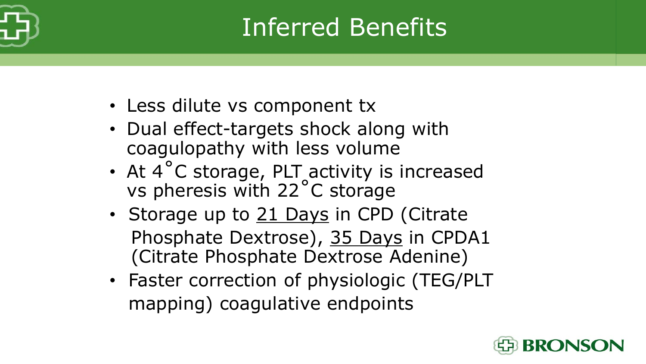

#### Inferred Benefits

- Less dilute vs component tx
- Dual effect-targets shock along with coagulopathy with less volume
- At 4 °C storage, PLT activity is increased vs pheresis with 22˚C storage
- Storage up to 21 Days in CPD (Citrate Phosphate Dextrose), 35 Days in CPDA1 (Citrate Phosphate Dextrose Adenine)
- Faster correction of physiologic (TEG/PLT mapping) coagulative endpoints

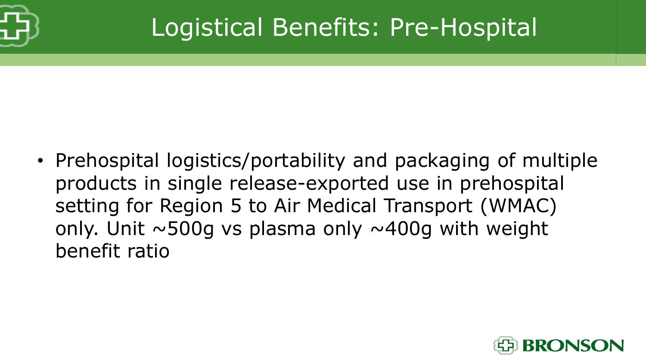

#### Logistical Benefits: Pre-Hospital

• Prehospital logistics/portability and packaging of multiple products in single release-exported use in prehospital setting for Region 5 to Air Medical Transport (WMAC) only. Unit  $\sim$  500g vs plasma only  $\sim$  400g with weight benefit ratio

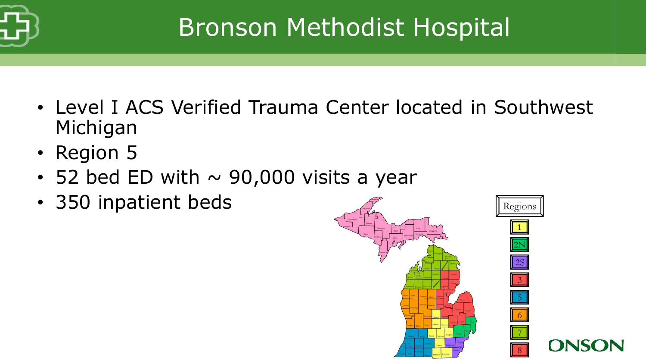

## Bronson Methodist Hospital

- Level I ACS Verified Trauma Center located in Southwest Michigan
- Region 5
- 52 bed ED with  $\sim$  90,000 visits a year
- 350 inpatient beds

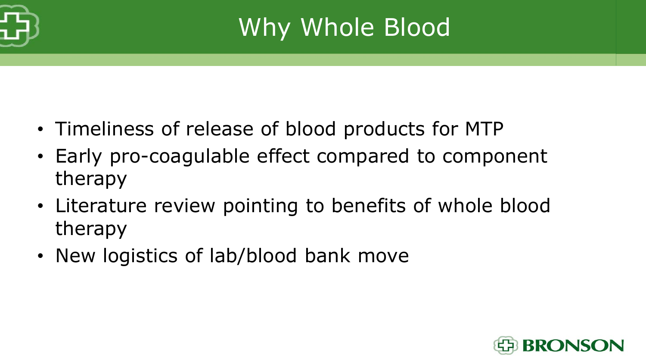

## Why Whole Blood

- Timeliness of release of blood products for MTP
- Early pro-coagulable effect compared to component therapy
- Literature review pointing to benefits of whole blood therapy
- New logistics of lab/blood bank move

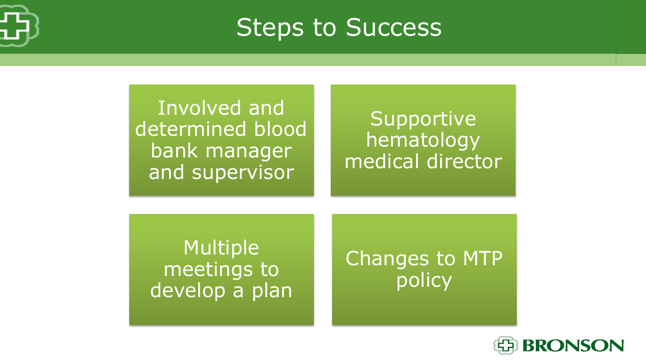

Steps to Success

Involved and determined blood bank manager and supervisor

Supportive hematology medical director

Multiple meetings to develop a plan

Changes to MTP policy

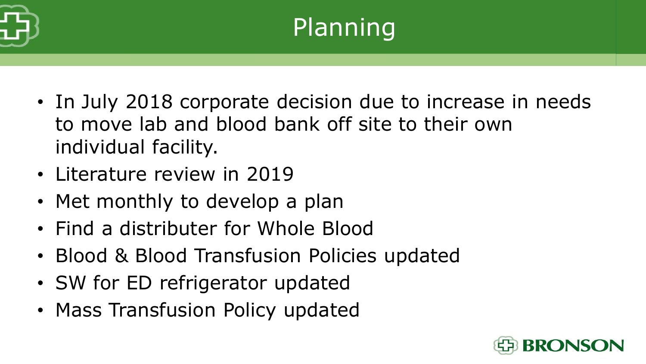

- In July 2018 corporate decision due to increase in needs to move lab and blood bank off site to their own individual facility.
- Literature review in 2019
- Met monthly to develop a plan
- Find a distributer for Whole Blood
- Blood & Blood Transfusion Policies updated
- SW for ED refrigerator updated
- Mass Transfusion Policy updated

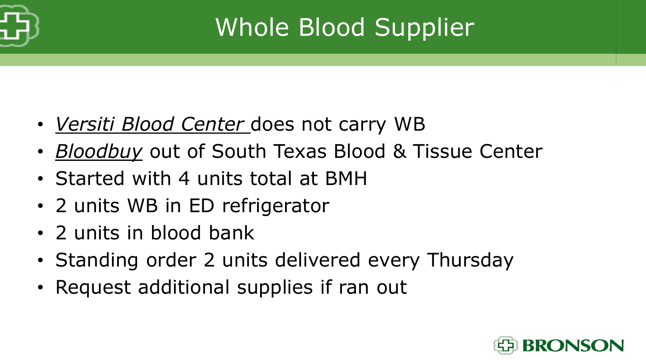

# Whole Blood Supplier

- *Versiti Blood Center* does not carry WB
- *Bloodbuy* out of South Texas Blood & Tissue Center
- Started with 4 units total at BMH
- 2 units WB in ED refrigerator
- 2 units in blood bank
- Standing order 2 units delivered every Thursday
- Request additional supplies if ran out

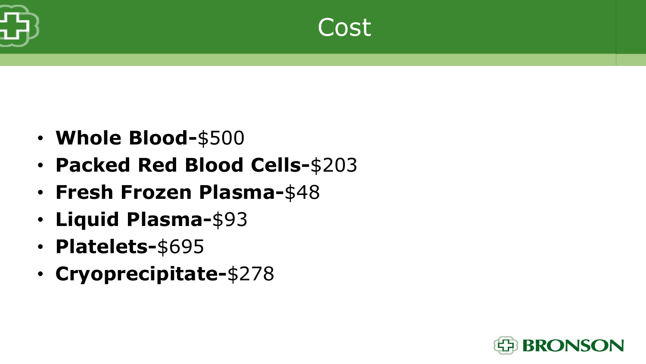

- **Whole Blood-**\$500
- **Packed Red Blood Cells-**\$203
- **Fresh Frozen Plasma-**\$48
- **Liquid Plasma-**\$93
- **Platelets-**\$695
- **Cryoprecipitate-**\$278

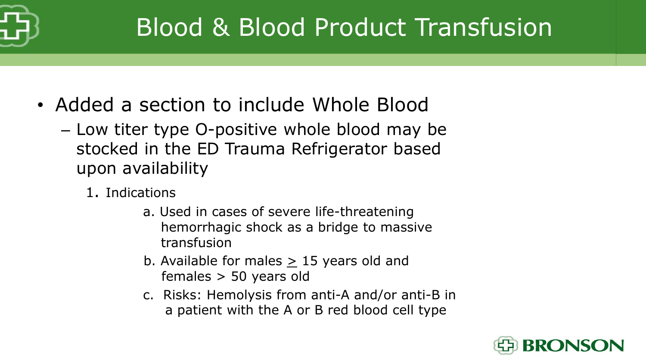

#### Blood & Blood Product Transfusion

- Added a section to include Whole Blood
	- Low titer type O-positive whole blood may be stocked in the ED Trauma Refrigerator based upon availability
		- 1. Indications
			- a. Used in cases of severe life-threatening hemorrhagic shock as a bridge to massive transfusion
			- b. Available for males  $\geq$  15 years old and females > 50 years old
			- c. Risks: Hemolysis from anti-A and/or anti-B in a patient with the A or B red blood cell type

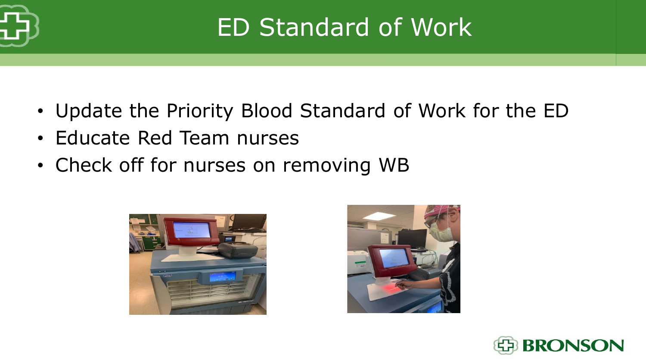

#### ED Standard of Work

- Update the Priority Blood Standard of Work for the ED
- Educate Red Team nurses
- Check off for nurses on removing WB





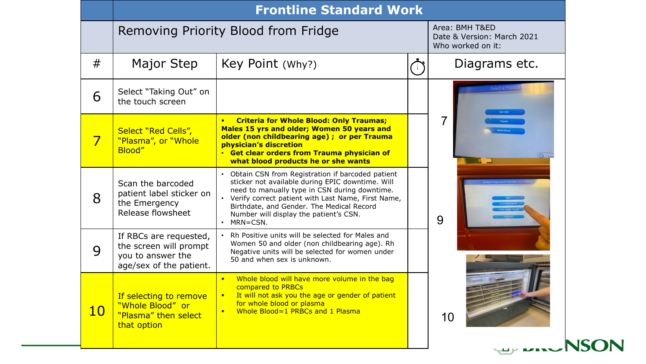|           |                                                                                                  | <b>Frontline Standard Work</b>                                                                                                                                                                                                                                                                                       |                                                                   |             |
|-----------|--------------------------------------------------------------------------------------------------|----------------------------------------------------------------------------------------------------------------------------------------------------------------------------------------------------------------------------------------------------------------------------------------------------------------------|-------------------------------------------------------------------|-------------|
|           |                                                                                                  | Removing Priority Blood from Fridge                                                                                                                                                                                                                                                                                  | Area: BMH T&ED<br>Date & Version: March 2021<br>Who worked on it: |             |
| #         | Major Step                                                                                       | Key Point (Why?)                                                                                                                                                                                                                                                                                                     | Diagrams etc.                                                     |             |
| 6         | Select "Taking Out" on<br>the touch screen                                                       |                                                                                                                                                                                                                                                                                                                      | <b>Red Cell</b>                                                   |             |
| 7         | Select "Red Cells",<br>"Plasma", or "Whole<br>Blood"                                             | <b>Criteria for Whole Blood: Only Traumas;</b><br>$\blacksquare$<br>Males 15 yrs and older; Women 50 years and<br>older (non childbearing age) ; or per Trauma<br>physician's discretion<br>• Get clear orders from Trauma physician of<br>what blood products he or she wants                                       | 7                                                                 | $\circ$     |
| 8         | Scan the barcoded<br>patient label sticker on<br>the Emergency<br>Release flowsheet              | Obtain CSN from Registration if barcoded patient<br>sticker not available during EPIC downtime. Will<br>need to manually type in CSN during downtime.<br>• Verify correct patient with Last Name, First Name,<br>Birthdate, and Gender. The Medical Record<br>Number will display the patient's CSN.<br>$·$ MRN=CSN. | 9                                                                 |             |
| 9         | If RBCs are requested,<br>the screen will prompt<br>you to answer the<br>age/sex of the patient. | Rh Positive units will be selected for Males and<br>Women 50 and older (non childbearing age). Rh<br>Negative units will be selected for women under<br>50 and when sex is unknown.                                                                                                                                  |                                                                   |             |
| <b>10</b> | If selecting to remove<br>"Whole Blood" or<br>"Plasma" then select<br>that option                | Whole blood will have more volume in the bag<br>$\blacksquare$<br>compared to PRBCs<br>It will not ask you the age or gender of patient<br>$\blacksquare$<br>for whole blood or plasma<br>Whole Blood=1 PRBCs and 1 Plasma                                                                                           | 10                                                                |             |
|           |                                                                                                  |                                                                                                                                                                                                                                                                                                                      | <b>ALL AREANS</b>                                                 | <b>NSON</b> |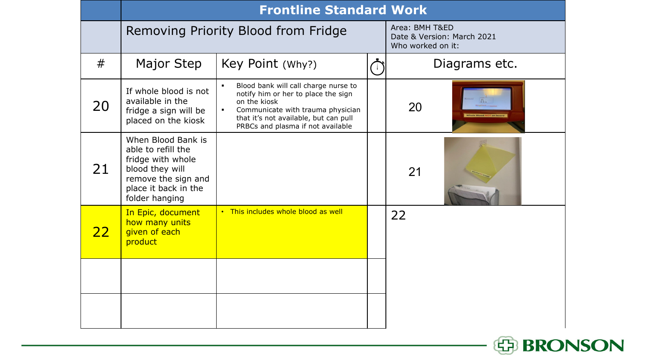|           | <b>Frontline Standard Work</b>                                                                                                                    |                                                                                                                                                                                                                                                    |  |                                                                   |  |  |  |
|-----------|---------------------------------------------------------------------------------------------------------------------------------------------------|----------------------------------------------------------------------------------------------------------------------------------------------------------------------------------------------------------------------------------------------------|--|-------------------------------------------------------------------|--|--|--|
|           | Removing Priority Blood from Fridge                                                                                                               |                                                                                                                                                                                                                                                    |  | Area: BMH T&ED<br>Date & Version: March 2021<br>Who worked on it: |  |  |  |
| #         | Major Step                                                                                                                                        | Key Point (Why?)                                                                                                                                                                                                                                   |  | Diagrams etc.                                                     |  |  |  |
| 20        | If whole blood is not<br>available in the<br>fridge a sign will be<br>placed on the kiosk                                                         | Blood bank will call charge nurse to<br>$\blacksquare$<br>notify him or her to place the sign<br>on the kiosk<br>Communicate with trauma physician<br>$\blacksquare$<br>that it's not available, but can pull<br>PRBCs and plasma if not available |  | 20                                                                |  |  |  |
| 21        | When Blood Bank is<br>able to refill the<br>fridge with whole<br>blood they will<br>remove the sign and<br>place it back in the<br>folder hanging |                                                                                                                                                                                                                                                    |  | 21                                                                |  |  |  |
| <u>22</u> | In Epic, document<br>how many units<br>given of each<br>product                                                                                   | . This includes whole blood as well                                                                                                                                                                                                                |  | 22                                                                |  |  |  |
|           |                                                                                                                                                   |                                                                                                                                                                                                                                                    |  |                                                                   |  |  |  |
|           |                                                                                                                                                   |                                                                                                                                                                                                                                                    |  |                                                                   |  |  |  |

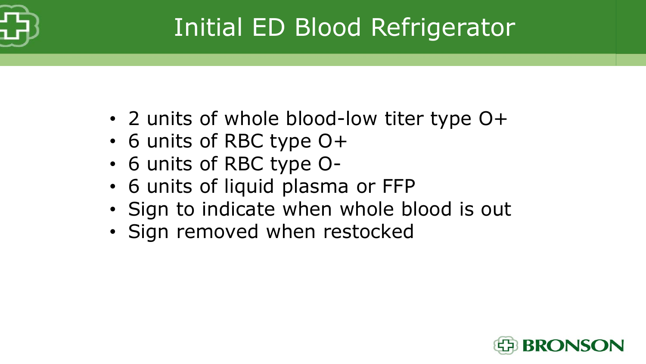

## Initial ED Blood Refrigerator

- 2 units of whole blood-low titer type O+
- 6 units of RBC type O+
- 6 units of RBC type O-
- 6 units of liquid plasma or FFP
- Sign to indicate when whole blood is out
- Sign removed when restocked

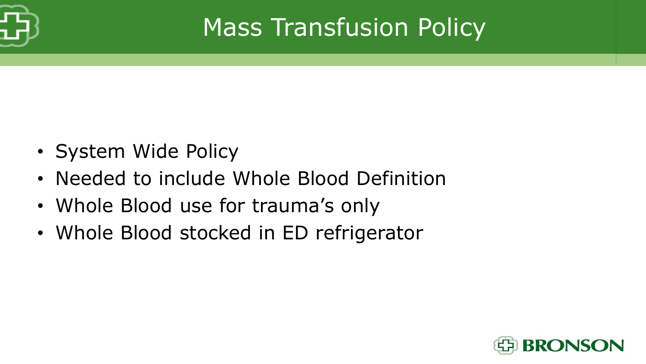

## Mass Transfusion Policy

- System Wide Policy
- Needed to include Whole Blood Definition
- Whole Blood use for trauma's only
- Whole Blood stocked in ED refrigerator

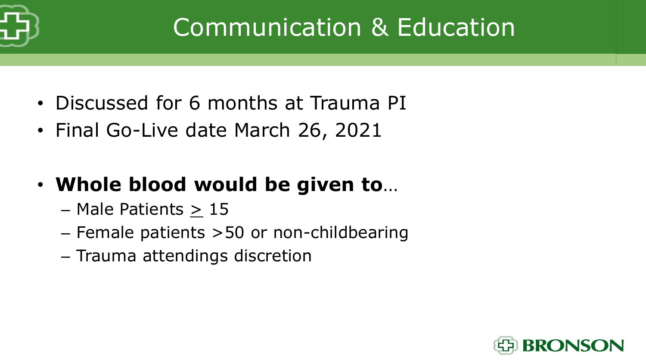

## Communication & Education

- Discussed for 6 months at Trauma PI
- Final Go-Live date March 26, 2021
- **Whole blood would be given to**…
	- Male Patients > 15
	- Female patients >50 or non-childbearing
	- Trauma attendings discretion

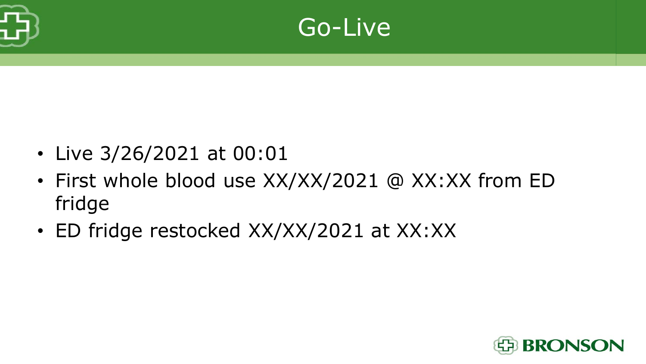



- Live 3/26/2021 at 00:01
- First whole blood use XX/XX/2021 @ XX:XX from ED fridge
- ED fridge restocked XX/XX/2021 at XX:XX

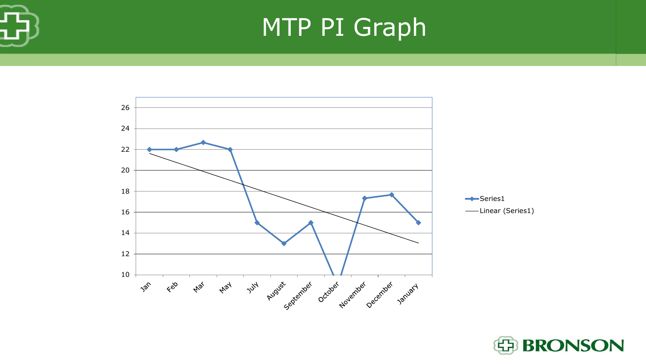

#### MTP PI Graph



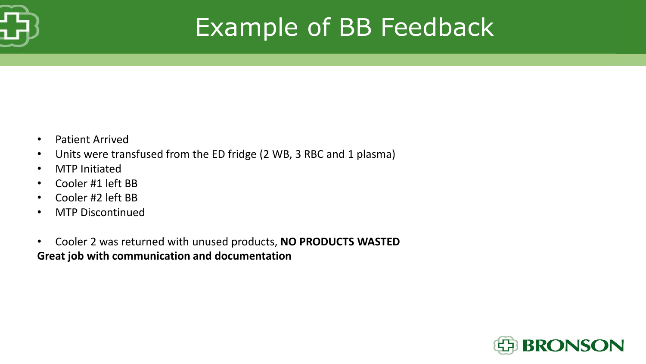

#### Example of BB Feedback

- Patient Arrived
- Units were transfused from the ED fridge (2 WB, 3 RBC and 1 plasma)
- MTP Initiated
- Cooler #1 left BB
- Cooler #2 left BB
- MTP Discontinued
- Cooler 2 was returned with unused products, **NO PRODUCTS WASTED Great job with communication and documentation**

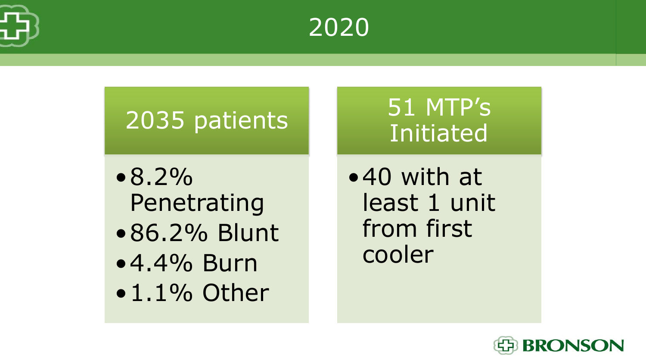



#### 2035 patients

- $•8.2\%$ Penetrating
- •86.2% Blunt
- •4.4% Burn
- $\bullet$  1.1% Other

#### 51 MTP's Initiated

•40 with at least 1 unit from first cooler

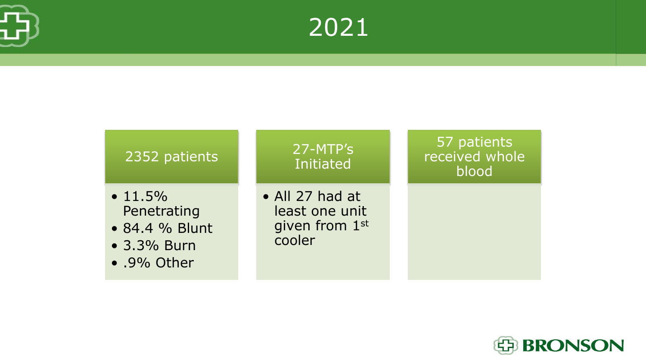





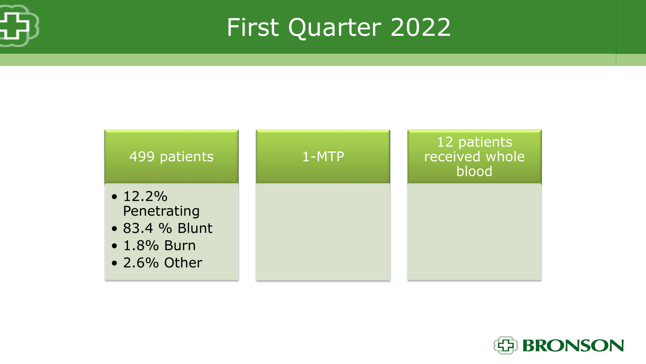

First Quarter 2022



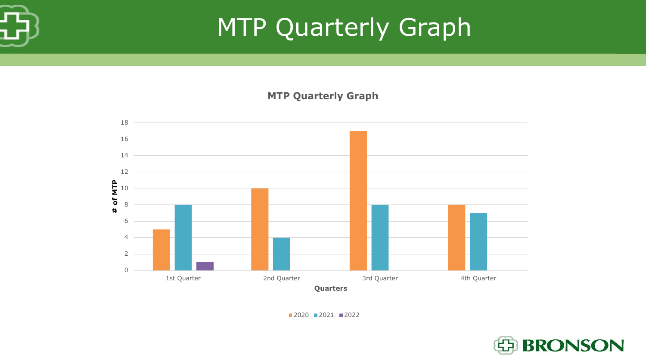

#### MTP Quarterly Graph

**MTP Quarterly Graph** 



2021 2022

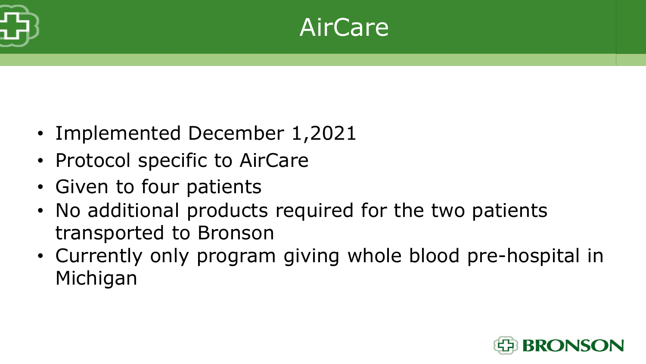

#### AirCare

- Implemented December 1,2021
- Protocol specific to AirCare
- Given to four patients
- No additional products required for the two patients transported to Bronson
- Currently only program giving whole blood pre-hospital in Michigan

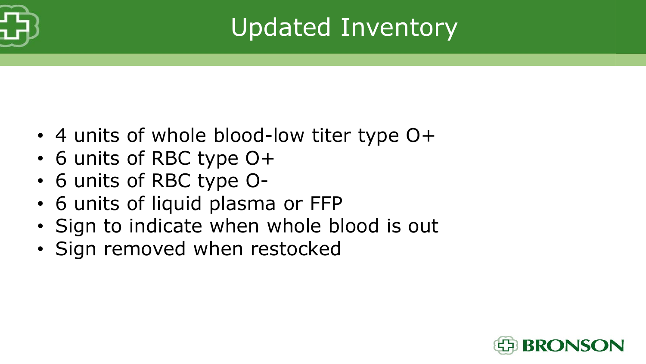

## Updated Inventory

- 4 units of whole blood-low titer type O+
- 6 units of RBC type O+
- 6 units of RBC type O-
- 6 units of liquid plasma or FFP
- Sign to indicate when whole blood is out
- Sign removed when restocked

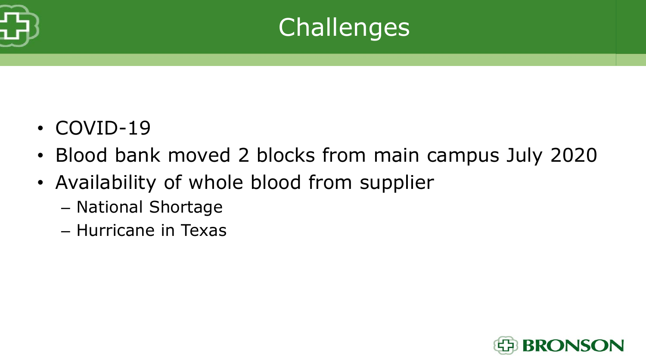



- COVID-19
- Blood bank moved 2 blocks from main campus July 2020
- Availability of whole blood from supplier
	- National Shortage
	- Hurricane in Texas

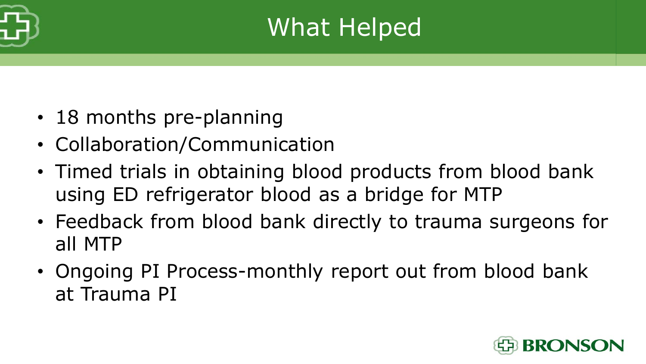

#### What Helped

- 18 months pre-planning
- Collaboration/Communication
- Timed trials in obtaining blood products from blood bank using ED refrigerator blood as a bridge for MTP
- Feedback from blood bank directly to trauma surgeons for all MTP
- Ongoing PI Process-monthly report out from blood bank at Trauma PI

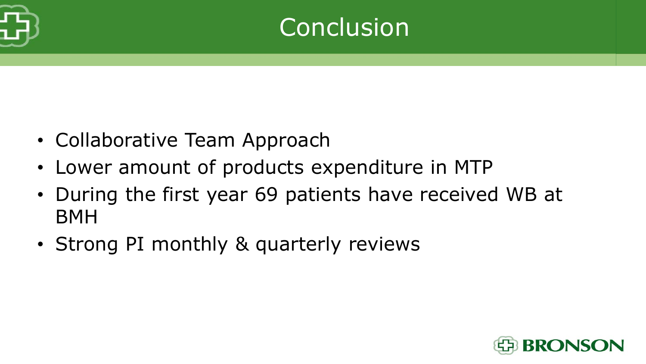

#### Conclusion

- Collaborative Team Approach
- Lower amount of products expenditure in MTP
- During the first year 69 patients have received WB at BMH
- Strong PI monthly & quarterly reviews